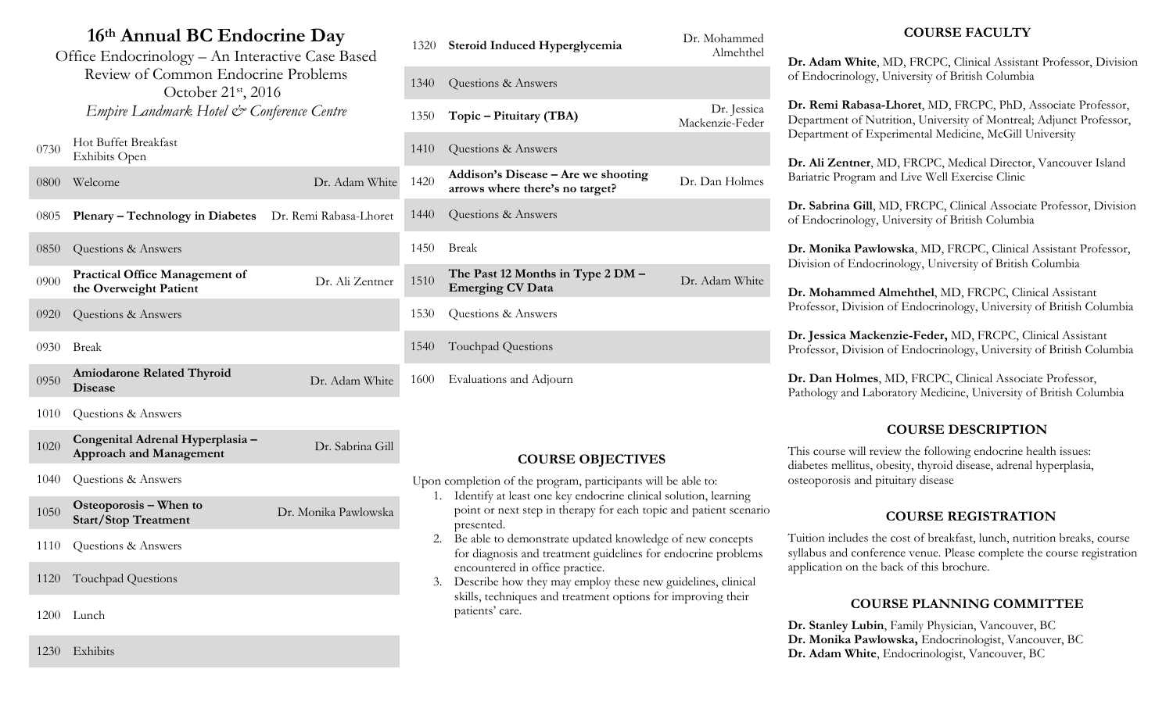# **16th Annual BC Endocrine Day**

| 16th Annual BC Endocrine Day                                                                                                                                            |                                                                    |                        |  |  |  |
|-------------------------------------------------------------------------------------------------------------------------------------------------------------------------|--------------------------------------------------------------------|------------------------|--|--|--|
| Office Endocrinology - An Interactive Case Based<br>Review of Common Endocrine Problems<br>October 21 <sup>st</sup> , 2016<br>Empire Landmark Hotel & Conference Centre |                                                                    |                        |  |  |  |
| 0730                                                                                                                                                                    | Hot Buffet Breakfast<br><b>Exhibits Open</b>                       |                        |  |  |  |
| 0800                                                                                                                                                                    | Welcome                                                            | Dr. Adam White         |  |  |  |
| 0805                                                                                                                                                                    | <b>Plenary – Technology in Diabetes</b>                            | Dr. Remi Rabasa-Lhoret |  |  |  |
| 0850                                                                                                                                                                    | Questions & Answers                                                |                        |  |  |  |
| 0900                                                                                                                                                                    | <b>Practical Office Management of</b><br>the Overweight Patient    | Dr. Ali Zentner        |  |  |  |
| 0920                                                                                                                                                                    | Questions & Answers                                                |                        |  |  |  |
| 0930                                                                                                                                                                    | <b>Break</b>                                                       |                        |  |  |  |
| 0950                                                                                                                                                                    | <b>Amiodarone Related Thyroid</b><br><b>Disease</b>                | Dr. Adam White         |  |  |  |
| 1010                                                                                                                                                                    | Questions & Answers                                                |                        |  |  |  |
| 1020                                                                                                                                                                    | Congenital Adrenal Hyperplasia -<br><b>Approach and Management</b> | Dr. Sabrina Gill       |  |  |  |
| 1040                                                                                                                                                                    | Questions & Answers                                                |                        |  |  |  |

- <sup>1050</sup> **Osteoporosis – When to Start/Stop Treatment** Dr. Monika Pawlowska
- 1110 Questions & Answers
- 1120 Touchpad Questions
- 1200 Lunch

1230 Exhibits

| 1320 | Steroid Induced Hyperglycemia                                          | Dr. Mohammed<br>Almehthel      |
|------|------------------------------------------------------------------------|--------------------------------|
| 1340 | Questions & Answers                                                    |                                |
| 1350 | Topic – Pituitary (TBA)                                                | Dr. Jessica<br>Mackenzie-Feder |
| 1410 | Questions & Answers                                                    |                                |
| 1420 | Addison's Disease – Are we shooting<br>arrows where there's no target? | Dr. Dan Holmes                 |
| 1440 | Questions & Answers                                                    |                                |
| 1450 | Break                                                                  |                                |
| 1510 | The Past 12 Months in Type 2 DM -<br><b>Emerging CV Data</b>           | Dr. Adam White                 |
| 1530 | Questions & Answers                                                    |                                |
| 1540 | Touchpad Questions                                                     |                                |
| 1600 | Evaluations and Adjourn                                                |                                |

## **COURSE OBJECTIVES**

Upon completion of the program, participants will be able to:

- 1. Identify at least one key endocrine clinical solution, learning point or next step in therapy for each topic and patient scenario presented.
- 2. Be able to demonstrate updated knowledge of new concepts for diagnosis and treatment guidelines for endocrine problems encountered in office practice.
- 3. Describe how they may employ these new guidelines, clinical skills, techniques and treatment options for improving their patients' care.

## **COURSE FACULTY**

**Dr. Adam White**, MD, FRCPC, Clinical Assistant Professor, Division of Endocrinology, University of British Columbia

**Dr. Remi Rabasa-Lhoret**, MD, FRCPC, PhD, Associate Professor, Department of Nutrition, University of Montreal; Adjunct Professor, Department of Experimental Medicine, McGill University

**Dr. Ali Zentner**, MD, FRCPC, Medical Director, Vancouver Island Bariatric Program and Live Well Exercise Clinic

**Dr. Sabrina Gill**, MD, FRCPC, Clinical Associate Professor, Division of Endocrinology, University of British Columbia

**Dr. Monika Pawlowska**, MD, FRCPC, Clinical Assistant Professor, Division of Endocrinology, University of British Columbia

**Dr. Mohammed Almehthel**, MD, FRCPC, Clinical Assistant Professor, Division of Endocrinology, University of British Columbia

**Dr. Jessica Mackenzie-Feder,** MD, FRCPC, Clinical Assistant Professor, Division of Endocrinology, University of British Columbia

**Dr. Dan Holmes**, MD, FRCPC, Clinical Associate Professor, Pathology and Laboratory Medicine, University of British Columbia

## **COURSE DESCRIPTION**

This course will review the following endocrine health issues: diabetes mellitus, obesity, thyroid disease, adrenal hyperplasia, osteoporosis and pituitary disease

## **COURSE REGISTRATION**

Tuition includes the cost of breakfast, lunch, nutrition breaks, course syllabus and conference venue. Please complete the course registration application on the back of this brochure.

## **COURSE PLANNING COMMITTEE**

**Dr. Stanley Lubin**, Family Physician, Vancouver, BC **Dr. Monika Pawlowska,** Endocrinologist, Vancouver, BC **Dr. Adam White**, Endocrinologist, Vancouver, BC